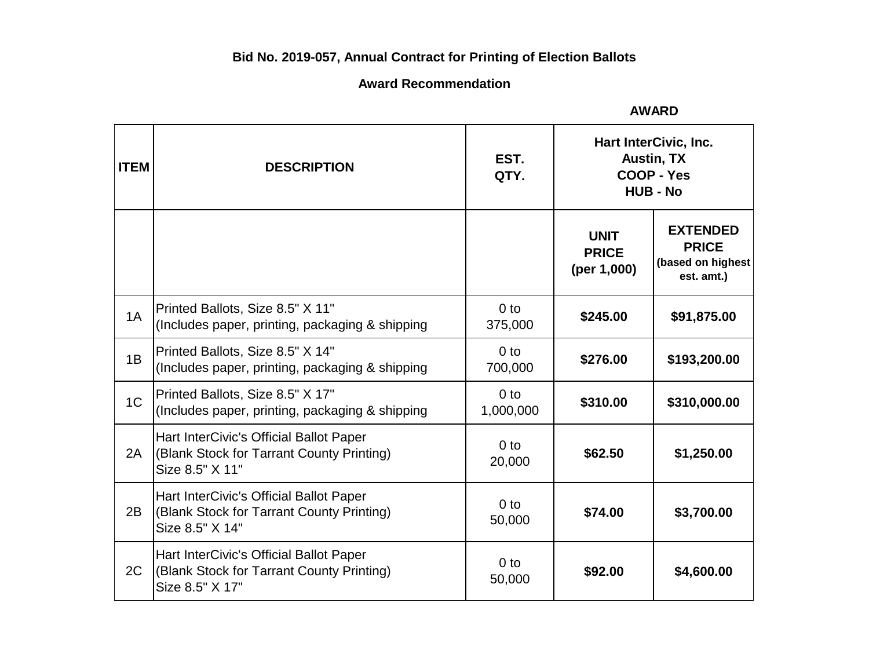# **Bid No. 2019-057, Annual Contract for Printing of Election Ballots**

# **Award Recommendation**

| <b>ITEM</b>    | <b>DESCRIPTION</b>                                                                                      | EST.<br>QTY.                 | Hart InterCivic, Inc.<br><b>Austin, TX</b><br><b>COOP - Yes</b><br><b>HUB - No</b> |                                                                    |
|----------------|---------------------------------------------------------------------------------------------------------|------------------------------|------------------------------------------------------------------------------------|--------------------------------------------------------------------|
|                |                                                                                                         |                              | <b>UNIT</b><br><b>PRICE</b><br>(per 1,000)                                         | <b>EXTENDED</b><br><b>PRICE</b><br>(based on highest<br>est. amt.) |
| 1A             | Printed Ballots, Size 8.5" X 11"<br>(Includes paper, printing, packaging & shipping                     | 0 <sub>to</sub><br>375,000   | \$245.00                                                                           | \$91,875.00                                                        |
| 1B             | Printed Ballots, Size 8.5" X 14"<br>(Includes paper, printing, packaging & shipping                     | 0 <sub>to</sub><br>700,000   | \$276.00                                                                           | \$193,200.00                                                       |
| 1 <sup>C</sup> | Printed Ballots, Size 8.5" X 17"<br>(Includes paper, printing, packaging & shipping)                    | 0 <sub>to</sub><br>1,000,000 | \$310.00                                                                           | \$310,000.00                                                       |
| 2A             | Hart InterCivic's Official Ballot Paper<br>(Blank Stock for Tarrant County Printing)<br>Size 8.5" X 11" | 0 <sub>to</sub><br>20,000    | \$62.50                                                                            | \$1,250.00                                                         |
| 2B             | Hart InterCivic's Official Ballot Paper<br>(Blank Stock for Tarrant County Printing)<br>Size 8.5" X 14" | 0 <sub>to</sub><br>50,000    | \$74.00                                                                            | \$3,700.00                                                         |
| 2C             | Hart InterCivic's Official Ballot Paper<br>(Blank Stock for Tarrant County Printing)<br>Size 8.5" X 17" | 0 <sub>to</sub><br>50,000    | \$92.00                                                                            | \$4,600.00                                                         |

**AWARD**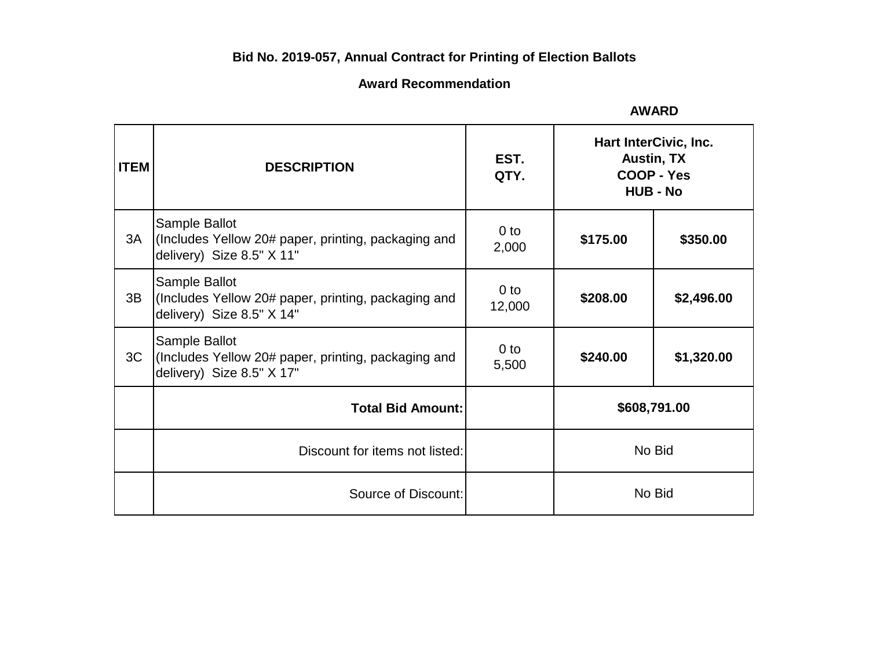# **Bid No. 2019-057, Annual Contract for Printing of Election Ballots**

## **Award Recommendation**

| <b>AWARD</b> |  |
|--------------|--|
|--------------|--|

| <b>ITEM</b> | <b>DESCRIPTION</b>                                                                                | EST.<br>QTY.             | Hart InterCivic, Inc.<br><b>Austin, TX</b><br>COOP - Yes<br><b>HUB - No</b> |            |
|-------------|---------------------------------------------------------------------------------------------------|--------------------------|-----------------------------------------------------------------------------|------------|
| 3A          | Sample Ballot<br>(Includes Yellow 20# paper, printing, packaging and<br>delivery) Size 8.5" X 11" | 0 <sub>to</sub><br>2,000 | \$175.00                                                                    | \$350.00   |
| 3B          | Sample Ballot<br>(Includes Yellow 20# paper, printing, packaging and<br>delivery) Size 8.5" X 14" | $0$ to<br>12,000         | \$208.00                                                                    | \$2,496.00 |
| 3C          | Sample Ballot<br>(Includes Yellow 20# paper, printing, packaging and<br>delivery) Size 8.5" X 17" | $0$ to<br>5,500          | \$240.00                                                                    | \$1,320.00 |
|             | <b>Total Bid Amount:</b>                                                                          |                          | \$608,791.00                                                                |            |
|             | Discount for items not listed:                                                                    |                          | No Bid                                                                      |            |
|             | Source of Discount:                                                                               |                          | No Bid                                                                      |            |